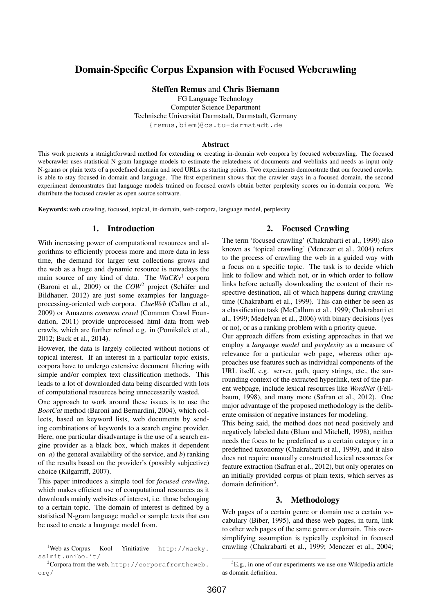# Domain-Specific Corpus Expansion with Focused Webcrawling

Steffen Remus and Chris Biemann

FG Language Technology Computer Science Department Technische Universität Darmstadt, Darmstadt, Germany {remus,biem}@cs.tu-darmstadt.de

#### Abstract

This work presents a straightforward method for extending or creating in-domain web corpora by focused webcrawling. The focused webcrawler uses statistical N-gram language models to estimate the relatedness of documents and weblinks and needs as input only N-grams or plain texts of a predefined domain and seed URLs as starting points. Two experiments demonstrate that our focused crawler is able to stay focused in domain and language. The first experiment shows that the crawler stays in a focused domain, the second experiment demonstrates that language models trained on focused crawls obtain better perplexity scores on in-domain corpora. We distribute the focused crawler as open source software.

Keywords: web crawling, focused, topical, in-domain, web-corpora, language model, perplexity

### 1. Introduction

With increasing power of computational resources and algorithms to efficiently process more and more data in less time, the demand for larger text collections grows and the web as a huge and dynamic resource is nowadays the main source of any kind of data. The *WaCKy*<sup>1</sup> corpora (Baroni et al., 2009) or the *COW*<sup>2</sup> project (Schäfer and Bildhauer, 2012) are just some examples for languageprocessing-oriented web corpora. *ClueWeb* (Callan et al., 2009) or Amazons *common crawl* (Common Crawl Foundation, 2011) provide unprocessed html data from web crawls, which are further refined e.g. in (Pomikálek et al., 2012; Buck et al., 2014).

However, the data is largely collected without notions of topical interest. If an interest in a particular topic exists, corpora have to undergo extensive document filtering with simple and/or complex text classification methods. This leads to a lot of downloaded data being discarded with lots of computational resources being unnecessarily wasted.

One approach to work around these issues is to use the *BootCat* method (Baroni and Bernardini, 2004), which collects, based on keyword lists, web documents by sending combinations of keywords to a search engine provider. Here, one particular disadvantage is the use of a search engine provider as a black box, which makes it dependent on *a*) the general availability of the service, and *b*) ranking of the results based on the provider's (possibly subjective) choice (Kilgarriff, 2007).

This paper introduces a simple tool for *focused crawling*, which makes efficient use of computational resources as it downloads mainly websites of interest, i.e. those belonging to a certain topic. The domain of interest is defined by a statistical N-gram language model or sample texts that can be used to create a language model from.

# 2. Focused Crawling

The term 'focused crawling' (Chakrabarti et al., 1999) also known as 'topical crawling' (Menczer et al., 2004) refers to the process of crawling the web in a guided way with a focus on a specific topic. The task is to decide which link to follow and which not, or in which order to follow links before actually downloading the content of their respective destination, all of which happens during crawling time (Chakrabarti et al., 1999). This can either be seen as a classification task (McCallum et al., 1999; Chakrabarti et al., 1999; Medelyan et al., 2006) with binary decisions (yes or no), or as a ranking problem with a priority queue.

Our approach differs from existing approaches in that we employ a *language model* and *perplexity* as a measure of relevance for a particular web page, whereas other approaches use features such as individual components of the URL itself, e.g. server, path, query strings, etc., the surrounding context of the extracted hyperlink, text of the parent webpage, include lexical resources like *WordNet* (Fellbaum, 1998), and many more (Safran et al., 2012). One major advantage of the proposed methodology is the deliberate omission of negative instances for modeling.

This being said, the method does not need positively and negatively labeled data (Blum and Mitchell, 1998), neither needs the focus to be predefined as a certain category in a predefined taxonomy (Chakrabarti et al., 1999), and it also does not require manually constructed lexical resources for feature extraction (Safran et al., 2012), but only operates on an initially provided corpus of plain texts, which serves as domain definition<sup>3</sup>.

#### 3. Methodology

Web pages of a certain genre or domain use a certain vocabulary (Biber, 1995), and these web pages, in turn, link to other web pages of the same genre or domain. This oversimplifying assumption is typically exploited in focused crawling (Chakrabarti et al., 1999; Menczer et al., 2004;

<sup>1</sup>Web-as-Corpus Kool Yinitiative http://wacky. sslmit.unibo.it/

<sup>&</sup>lt;sup>2</sup>Corpora from the web, http://corporafromtheweb. org/

<sup>&</sup>lt;sup>3</sup>E.g., in one of our experiments we use one Wikipedia article as domain definition.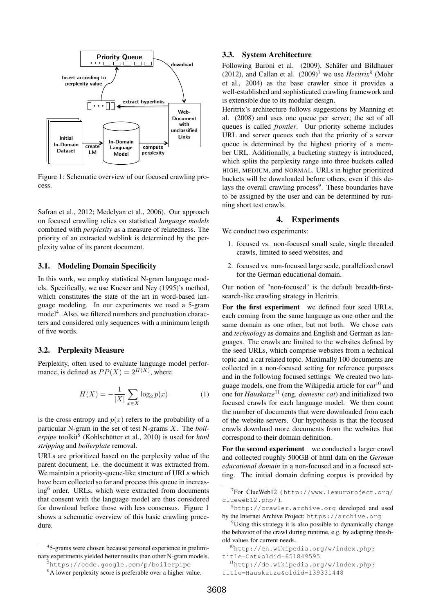

Figure 1: Schematic overview of our focused crawling process.

Safran et al., 2012; Medelyan et al., 2006). Our approach on focused crawling relies on statistical *language models* combined with *perplexity* as a measure of relatedness. The priority of an extracted weblink is determined by the perplexity value of its parent document.

### 3.1. Modeling Domain Specificity

In this work, we employ statistical N-gram language models. Specifically, we use Kneser and Ney (1995)'s method, which constitutes the state of the art in word-based language modeling. In our experiments we used a 5-gram model<sup>4</sup>. Also, we filtered numbers and punctuation characters and considered only sequences with a minimum length of five words.

#### 3.2. Perplexity Measure

Perplexity, often used to evaluate language model performance, is defined as  $PP(X) = 2^{H(X)}$ , where

$$
H(X) = -\frac{1}{|X|} \sum_{x \in X} \log_2 p(x)
$$
 (1)

is the cross entropy and  $p(x)$  refers to the probability of a particular N-gram in the set of test N-grams X. The *boil*erpipe toolkit<sup>5</sup> (Kohlschütter et al., 2010) is used for *html stripping* and *boilerplate* removal.

URLs are prioritized based on the perplexity value of the parent document, i.e. the document it was extracted from. We maintain a priority-queue-like structure of URLs which have been collected so far and process this queue in increasing<sup>6</sup> order. URLs, which were extracted from documents that consent with the language model are thus considered for download before those with less consensus. Figure 1 shows a schematic overview of this basic crawling procedure.

# 3.3. System Architecture

Following Baroni et al. (2009), Schäfer and Bildhauer (2012), and Callan et al.  $(2009)^7$  we use *Heritrix*<sup>8</sup> (Mohr et al., 2004) as the base crawler since it provides a well-established and sophisticated crawling framework and is extensible due to its modular design.

Heritrix's architecture follows suggestions by Manning et al. (2008) and uses one queue per server; the set of all queues is called *frontier*. Our priority scheme includes URL and server queues such that the priority of a server queue is determined by the highest priority of a member URL. Additionally, a bucketing strategy is introduced, which splits the perplexity range into three buckets called HIGH, MEDIUM, and NORMAL. URLs in higher prioritized buckets will be downloaded before others, even if this delays the overall crawling process<sup>9</sup>. These boundaries have to be assigned by the user and can be determined by running short test crawls.

#### 4. Experiments

We conduct two experiments:

- 1. focused vs. non-focused small scale, single threaded crawls, limited to seed websites, and
- 2. focused vs. non-focused large scale, parallelized crawl for the German educational domain.

Our notion of "non-focused" is the default breadth-firstsearch-like crawling strategy in Heritrix.

For the first experiment we defined four seed URLs, each coming from the same language as one other and the same domain as one other, but not both. We chose *cats* and *technology* as domains and English and German as languages. The crawls are limited to the websites defined by the seed URLs, which comprise websites from a technical topic and a cat related topic. Maximally 100 documents are collected in a non-focused setting for reference purposes and in the following focused settings: We created two language models, one from the Wikipedia article for *cat*<sup>10</sup> and one for *Hauskatze*<sup>11</sup> (eng. *domestic cat*) and initialized two focused crawls for each language model. We then count the number of documents that were downloaded from each of the website servers. Our hypothesis is that the focused crawls download more documents from the websites that correspond to their domain definition.

For the second experiment we conducted a larger crawl and collected roughly 500GB of html data on the *German educational domain* in a non-focused and in a focused setting. The initial domain defining corpus is provided by

<sup>4</sup> 5-grams were chosen because personal experience in preliminary experiments yielded better results than other N-gram models. <sup>5</sup>https://code.google.com/p/boilerpipe

<sup>&</sup>lt;sup>6</sup>A lower perplexity score is preferable over a higher value.

<sup>7</sup> For ClueWeb12 ( http://www.lemurproject.org/ clueweb12.php/ ).

<sup>8</sup>http://crawler.archive.org developed and used by the Internet Archive Project: https://archive.org

 $9^9$ Using this strategy it is also possible to dynamically change the behavior of the crawl during runtime, e.g. by adapting threshold values for current needs.

<sup>10</sup>http://en.wikipedia.org/w/index.php? title=Cat&oldid=651849595

<sup>11</sup>http://de.wikipedia.org/w/index.php? title=Hauskatze&oldid=139331448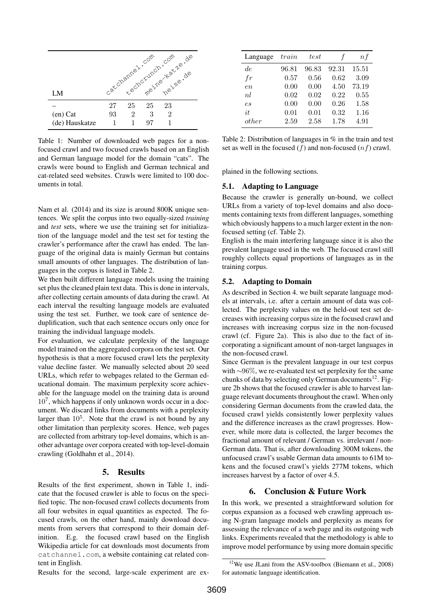

Table 1: Number of downloaded web pages for a nonfocused crawl and two focused crawls based on an English and German language model for the domain "cats". The crawls were bound to English and German technical and cat-related seed websites. Crawls were limited to 100 documents in total.

Nam et al. (2014) and its size is around 800K unique sentences. We split the corpus into two equally-sized *training* and *test* sets, where we use the training set for initialization of the language model and the test set for testing the crawler's performance after the crawl has ended. The language of the original data is mainly German but contains small amounts of other languages. The distribution of languages in the corpus is listed in Table 2.

We then built different language models using the training set plus the cleaned plain text data. This is done in intervals, after collecting certain amounts of data during the crawl. At each interval the resulting language models are evaluated using the test set. Further, we took care of sentence deduplification, such that each sentence occurs only once for training the individual language models.

For evaluation, we calculate perplexity of the language model trained on the aggregated corpora on the test set. Our hypothesis is that a more focused crawl lets the perplexity value decline faster. We manually selected about 20 seed URLs, which refer to webpages related to the German educational domain. The maximum perplexity score achievable for the language model on the training data is around 10<sup>7</sup> , which happens if only unknown words occur in a document. We discard links from documents with a perplexity larger than  $10<sup>5</sup>$ . Note that the crawl is not bound by any other limitation than perplexity scores. Hence, web pages are collected from arbitrary top-level domains, which is another advantage over corpora created with top-level-domain crawling (Goldhahn et al., 2014).

#### 5. Results

Results of the first experiment, shown in Table 1, indicate that the focused crawler is able to focus on the specified topic. The non-focused crawl collects documents from all four websites in equal quantities as expected. The focused crawls, on the other hand, mainly download documents from servers that correspond to their domain definition. E.g. the focused crawl based on the English Wikipedia article for cat downloads most documents from catchannel.com, a website containing cat related content in English.

| Language | train | test  | f     | n f   |
|----------|-------|-------|-------|-------|
| de       | 96.81 | 96.83 | 92.31 | 15.51 |
| $f_{r}$  | 0.57  | 0.56  | 0.62  | 3.09  |
| en       | 0.00  | 0.00  | 4.50  | 73.19 |
| nl       | 0.02  | 0.02  | 0.22  | 0.55  |
| es       | 0.00  | 0.00  | 0.26  | 1.58  |
| it.      | 0.01  | 0.01  | 0.32  | 1.16  |
| other    | 2.59  | 2.58  | 1.78  | 4.91  |

|  | Table 2: Distribution of languages in $%$ in the train and test |  |  |  |
|--|-----------------------------------------------------------------|--|--|--|
|  | set as well in the focused $(f)$ and non-focused $(n f)$ crawl. |  |  |  |

plained in the following sections.

# 5.1. Adapting to Language

Because the crawler is generally un-bound, we collect URLs from a variety of top-level domains and also documents containing texts from different languages, something which obviously happens to a much larger extent in the nonfocused setting (cf. Table 2).

English is the main interfering language since it is also the prevalent language used in the web. The focused crawl still roughly collects equal proportions of languages as in the training corpus.

### 5.2. Adapting to Domain

As described in Section 4. we built separate language models at intervals, i.e. after a certain amount of data was collected. The perplexity values on the held-out test set decreases with increasing corpus size in the focused crawl and increases with increasing corpus size in the non-focused crawl (cf. Figure 2a). This is also due to the fact of incorporating a significant amount of non-target languages in the non-focused crawl.

Since German is the prevalent language in our test corpus with ∼96%, we re-evaluated test set perplexity for the same chunks of data by selecting only German documents<sup>12</sup>. Figure 2b shows that the focused crawler is able to harvest language relevant documents throughout the crawl. When only considering German documents from the crawled data, the focused crawl yields consistently lower perplexity values and the difference increases as the crawl progresses. However, while more data is collected, the larger becomes the fractional amount of relevant / German vs. irrelevant / non-German data. That is, after downloading 300M tokens, the unfocused crawl's usable German data amounts to 61M tokens and the focused crawl's yields 277M tokens, which increases harvest by a factor of over 4.5.

# 6. Conclusion & Future Work

In this work, we presented a straightforward solution for corpus expansion as a focused web crawling approach using N-gram language models and perplexity as means for assessing the relevance of a web page and its outgoing web links. Experiments revealed that the methodology is able to improve model performance by using more domain specific

Results for the second, large-scale experiment are ex-

<sup>12</sup>We use JLani from the ASV-toolbox (Biemann et al., 2008) for automatic language identification.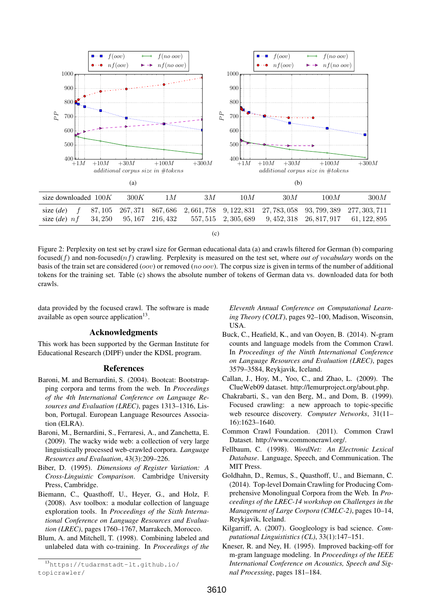

Figure 2: Perplexity on test set by crawl size for German educational data (a) and crawls filtered for German (b) comparing focused( $f$ ) and non-focused( $nf$ ) crawling. Perplexity is measured on the test set, where *out of vocabulary* words on the basis of the train set are considered (oov) or removed (no oov). The corpus size is given in terms of the number of additional tokens for the training set. Table (c) shows the absolute number of tokens of German data vs. downloaded data for both crawls.

data provided by the focused crawl. The software is made available as open source application $13$ .

# Acknowledgments

This work has been supported by the German Institute for Educational Research (DIPF) under the KDSL program.

#### References

- Baroni, M. and Bernardini, S. (2004). Bootcat: Bootstrapping corpora and terms from the web. In *Proceedings of the 4th International Conference on Language Resources and Evaluation (LREC)*, pages 1313–1316, Lisbon, Portugal. European Language Resources Association (ELRA).
- Baroni, M., Bernardini, S., Ferraresi, A., and Zanchetta, E. (2009). The wacky wide web: a collection of very large linguistically processed web-crawled corpora. *Language Resources and Evaluation*, 43(3):209–226.
- Biber, D. (1995). *Dimensions of Register Variation: A Cross-Linguistic Comparison*. Cambridge University Press, Cambridge.
- Biemann, C., Quasthoff, U., Heyer, G., and Holz, F. (2008). Asv toolbox: a modular collection of language exploration tools. In *Proceedings of the Sixth International Conference on Language Resources and Evaluation (LREC)*, pages 1760–1767, Marrakech, Morocco.
- Blum, A. and Mitchell, T. (1998). Combining labeled and unlabeled data with co-training. In *Proceedings of the*

*Eleventh Annual Conference on Computational Learning Theory (COLT)*, pages 92–100, Madison, Wisconsin, USA.

- Buck, C., Heafield, K., and van Ooyen, B. (2014). N-gram counts and language models from the Common Crawl. In *Proceedings of the Ninth International Conference on Language Resources and Evaluation (LREC)*, pages 3579–3584, Reykjavik, Iceland.
- Callan, J., Hoy, M., Yoo, C., and Zhao, L. (2009). The ClueWeb09 dataset. http://lemurproject.org/about.php.
- Chakrabarti, S., van den Berg, M., and Dom, B. (1999). Focused crawling: a new approach to topic-specific web resource discovery. *Computer Networks*, 31(11– 16):1623–1640.
- Common Crawl Foundation. (2011). Common Crawl Dataset. http://www.commoncrawl.org/.
- Fellbaum, C. (1998). *WordNet: An Electronic Lexical Database*. Language, Speech, and Communication. The MIT Press.
- Goldhahn, D., Remus, S., Quasthoff, U., and Biemann, C. (2014). Top-level Domain Crawling for Producing Comprehensive Monolingual Corpora from the Web. In *Proceedings of the LREC-14 workshop on Challenges in the Management of Large Corpora (CMLC-2)*, pages 10–14, Reykjavik, Iceland.
- Kilgarriff, A. (2007). Googleology is bad science. *Computational Linguististics (CL)*, 33(1):147–151.
- Kneser, R. and Ney, H. (1995). Improved backing-off for m-gram language modeling. In *Proceedings of the IEEE International Conference on Acoustics, Speech and Signal Processing*, pages 181–184.

<sup>13</sup>https://tudarmstadt-lt.github.io/ topicrawler/